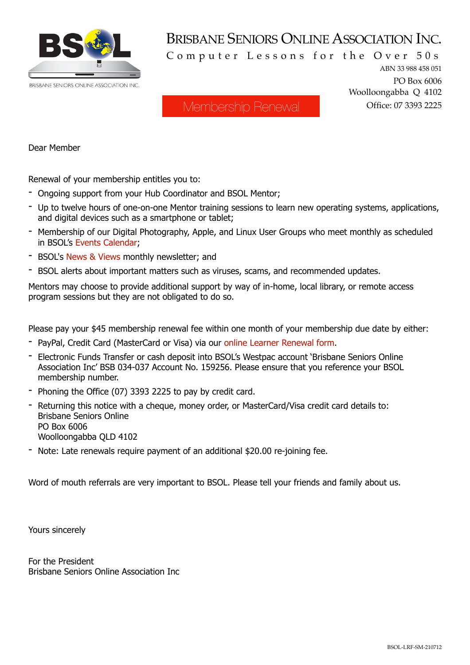

## BRISBANE SENIORS ONLINE ASSOCIATION INC.

Computer Lessons for the Over 50s

ABN 33 988 458 051 PO Box 6006 Woolloongabba Q 4102 Office: 07 3393 2225

## Membership Renewal

Dear Member

Renewal of your membership entitles you to:

- Ongoing support from your Hub Coordinator and BSOL Mentor;
- Up to twelve hours of one-on-one Mentor training sessions to learn new operating systems, applications, and digital devices such as a smartphone or tablet;
- Membership of our Digital Photography, Apple, and Linux User Groups who meet monthly as scheduled in BSOL's [Events Calendar;](https://bsol.asn.au/events-calendar/)
- BSOL's [News & Views](https://bsol.asn.au/newsletters/) monthly newsletter; and
- BSOL alerts about important matters such as viruses, scams, and recommended updates.

Mentors may choose to provide additional support by way of in-home, local library, or remote access program sessions but they are not obligated to do so.

Please pay your \$45 membership renewal fee within one month of your membership due date by either:

- PayPal, Credit Card (MasterCard or Visa) via our [online Learner Renewal form](https://bsol.asn.au/learners/).
- Electronic Funds Transfer or cash deposit into BSOL's Westpac account 'Brisbane Seniors Online Association Inc' BSB 034-037 Account No. 159256. Please ensure that you reference your BSOL membership number.
- Phoning the Office (07) 3393 2225 to pay by credit card.
- Returning this notice with a cheque, money order, or MasterCard/Visa credit card details to: Brisbane Seniors Online PO Box 6006 Woolloongabba QLD 4102
- Note: Late renewals require payment of an additional \$20.00 re-joining fee.

Word of mouth referrals are very important to BSOL. Please tell your friends and family about us.

Yours sincerely

For the President Brisbane Seniors Online Association Inc